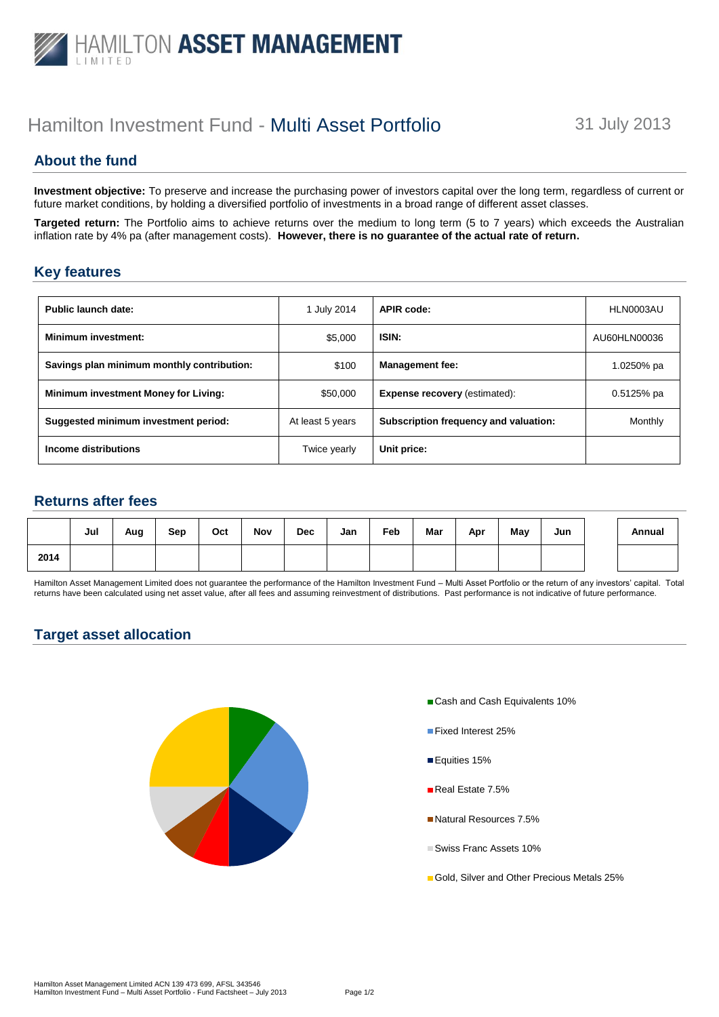

# Hamilton Investment Fund - Multi Asset Portfolio 31 July 2013

# **About the fund**

**Investment objective:** To preserve and increase the purchasing power of investors capital over the long term, regardless of current or future market conditions, by holding a diversified portfolio of investments in a broad range of different asset classes.

**Targeted return:** The Portfolio aims to achieve returns over the medium to long term (5 to 7 years) which exceeds the Australian inflation rate by 4% pa (after management costs). **However, there is no guarantee of the actual rate of return.**

#### **Key features**

| Public launch date:                        | 1 July 2014      | <b>APIR code:</b>                     | HLN0003AU    |  |
|--------------------------------------------|------------------|---------------------------------------|--------------|--|
| <b>Minimum investment:</b>                 | \$5,000          | ISIN:                                 | AU60HLN00036 |  |
| Savings plan minimum monthly contribution: | \$100            | <b>Management fee:</b>                | 1.0250% pa   |  |
| Minimum investment Money for Living:       | \$50,000         | <b>Expense recovery (estimated):</b>  | $0.5125%$ pa |  |
| Suggested minimum investment period:       | At least 5 years | Subscription frequency and valuation: | Monthly      |  |
| Income distributions                       | Twice yearly     | Unit price:                           |              |  |

# **Returns after fees**

|      | Jul | Aug | Sep | Oct | Nov | <b>Dec</b> | Jan | Feb | Mar | Apr | May | Jun | Annual |
|------|-----|-----|-----|-----|-----|------------|-----|-----|-----|-----|-----|-----|--------|
| 2014 |     |     |     |     |     |            |     |     |     |     |     |     |        |

Hamilton Asset Management Limited does not guarantee the performance of the Hamilton Investment Fund – Multi Asset Portfolio or the return of any investors' capital. Total returns have been calculated using net asset value, after all fees and assuming reinvestment of distributions. Past performance is not indicative of future performance.

## **Target asset allocation**



- Cash and Cash Equivalents 10%
- **Fixed Interest 25%**
- Equities 15%
- Real Estate 7.5%
- **Natural Resources 7.5%**
- Swiss Franc Assets 10%
- Gold, Silver and Other Precious Metals 25%